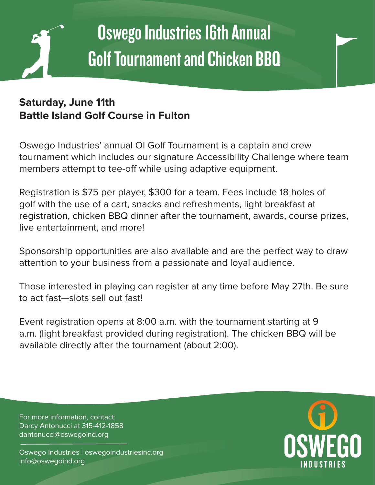

# Oswego Industries 16th Annual Golf Tournament and Chicken BBQ

### **Saturday, June 11th Battle Island Golf Course in Fulton**

Oswego Industries' annual OI Golf Tournament is a captain and crew tournament which includes our signature Accessibility Challenge where team members attempt to tee-off while using adaptive equipment.

Registration is \$75 per player, \$300 for a team. Fees include 18 holes of golf with the use of a cart, snacks and refreshments, light breakfast at registration, chicken BBQ dinner after the tournament, awards, course prizes, live entertainment, and more!

Sponsorship opportunities are also available and are the perfect way to draw attention to your business from a passionate and loyal audience.

Those interested in playing can register at any time before May 27th. Be sure to act fast—slots sell out fast!

Event registration opens at 8:00 a.m. with the tournament starting at 9 a.m. (light breakfast provided during registration). The chicken BBQ will be available directly after the tournament (about 2:00).

For more information, contact: Darcy Antonucci at 315-412-1858 dantonucci@oswegoind.org

Oswego Industries | oswegoindustriesinc.org info@oswegoind.org

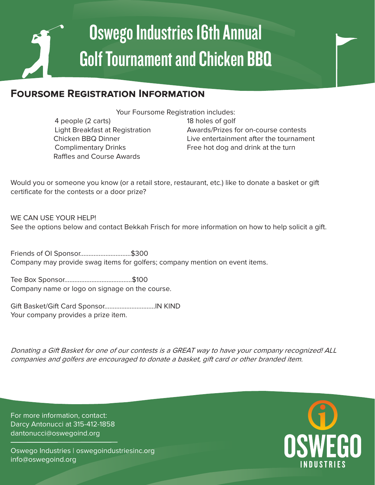# Oswego Industries 16th Annual Golf Tournament and Chicken BBQ

#### **Foursome Registration Information**

Your Foursome Registration includes:

 4 people (2 carts) 18 holes of golf Raffles and Course Awards

 Light Breakfast at Registration Awards/Prizes for on-course contests Chicken BBQ Dinner **Live entertainment after the tournament** Complimentary Drinks Free hot dog and drink at the turn

Would you or someone you know (or a retail store, restaurant, etc.) like to donate a basket or gift certificate for the contests or a door prize?

WE CAN USE YOUR HELP! See the options below and contact Bekkah Frisch for more information on how to help solicit a gift.

Friends of OI Sponsor………………………...\$300 Company may provide swag items for golfers; company mention on event items.

Tee Box Sponsor………………….……………...\$100 Company name or logo on signage on the course.

Gift Basket/Gift Card Sponsor………………………...IN KIND Your company provides a prize item.

Donating a Gift Basket for one of our contests is a GREAT way to have your company recognized! ALL companies and golfers are encouraged to donate a basket, gift card or other branded item.

For more information, contact: Darcy Antonucci at 315-412-1858 dantonucci@oswegoind.org